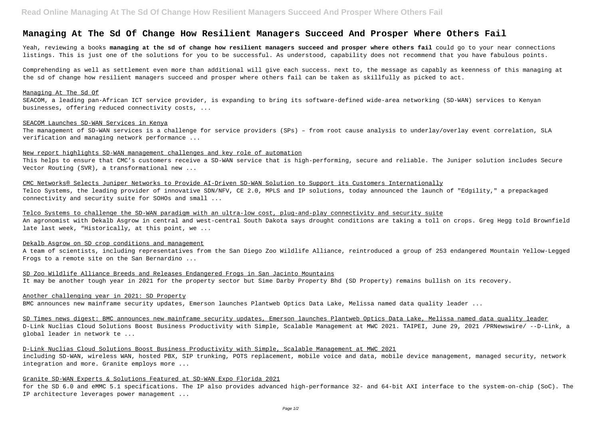# **Managing At The Sd Of Change How Resilient Managers Succeed And Prosper Where Others Fail**

Yeah, reviewing a books **managing at the sd of change how resilient managers succeed and prosper where others fail** could go to your near connections listings. This is just one of the solutions for you to be successful. As understood, capability does not recommend that you have fabulous points.

Comprehending as well as settlement even more than additional will give each success. next to, the message as capably as keenness of this managing at the sd of change how resilient managers succeed and prosper where others fail can be taken as skillfully as picked to act.

#### Managing At The Sd Of

SEACOM, a leading pan-African ICT service provider, is expanding to bring its software-defined wide-area networking (SD-WAN) services to Kenyan businesses, offering reduced connectivity costs, ...

### SEACOM Launches SD-WAN Services in Kenya

The management of SD-WAN services is a challenge for service providers (SPs) – from root cause analysis to underlay/overlay event correlation, SLA verification and managing network performance ...

## New report highlights SD-WAN management challenges and key role of automation

This helps to ensure that CMC's customers receive a SD-WAN service that is high-performing, secure and reliable. The Juniper solution includes Secure Vector Routing (SVR), a transformational new ...

CMC Networks® Selects Juniper Networks to Provide AI-Driven SD-WAN Solution to Support its Customers Internationally Telco Systems, the leading provider of innovative SDN/NFV, CE 2.0, MPLS and IP solutions, today announced the launch of "Edgility," a prepackaged connectivity and security suite for SOHOs and small ...

Telco Systems to challenge the SD-WAN paradigm with an ultra-low cost, plug-and-play connectivity and security suite An agronomist with Dekalb Asgrow in central and west-central South Dakota says drought conditions are taking a toll on crops. Greg Hegg told Brownfield late last week, "Historically, at this point, we ...

#### Dekalb Asgrow on SD crop conditions and management

A team of scientists, including representatives from the San Diego Zoo Wildlife Alliance, reintroduced a group of 253 endangered Mountain Yellow-Legged Frogs to a remote site on the San Bernardino ...

SD Zoo Wildlife Alliance Breeds and Releases Endangered Frogs in San Jacinto Mountains

It may be another tough year in 2021 for the property sector but Sime Darby Property Bhd (SD Property) remains bullish on its recovery.

# Another challenging year in 2021: SD Property

BMC announces new mainframe security updates, Emerson launches Plantweb Optics Data Lake, Melissa named data quality leader ...

SD Times news digest: BMC announces new mainframe security updates, Emerson launches Plantweb Optics Data Lake, Melissa named data quality leader D-Link Nuclias Cloud Solutions Boost Business Productivity with Simple, Scalable Management at MWC 2021. TAIPEI, June 29, 2021 /PRNewswire/ --D-Link, a global leader in network te ...

D-Link Nuclias Cloud Solutions Boost Business Productivity with Simple, Scalable Management at MWC 2021 including SD-WAN, wireless WAN, hosted PBX, SIP trunking, POTS replacement, mobile voice and data, mobile device management, managed security, network integration and more. Granite employs more ...

## Granite SD-WAN Experts & Solutions Featured at SD-WAN Expo Florida 2021

for the SD 6.0 and eMMC 5.1 specifications. The IP also provides advanced high-performance 32- and 64-bit AXI interface to the system-on-chip (SoC). The IP architecture leverages power management ...